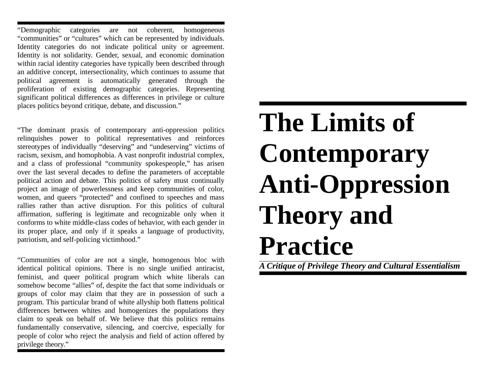"Demographic categories are not coherent, homogeneous "communities" or "cultures" which can be represented by individuals. Identity categories do not indicate political unity or agreement. Identity is not solidarity. Gender, sexual, and economic domination within racial identity categories have typically been described through an additive concept, intersectionality, which continues to assume that political agreement is automatically generated through the proliferation of existing demographic categories. Representing significant political differences as differences in privilege or culture places politics beyond critique, debate, and discussion."

"The dominant praxis of contemporary anti-oppression politics relinquishes power to political representatives and reinforces stereotypes of individually "deserving" and "undeserving" victims of racism, sexism, and homophobia. A vast nonprofit industrial complex, and a class of professional "community spokespeople," has arisen over the last several decades to define the parameters of acceptable political action and debate. This politics of safety must continually project an image of powerlessness and keep communities of color, women, and queers "protected" and confined to speeches and mass rallies rather than active disruption. For this politics of cultural affirmation, suffering is legitimate and recognizable only when it conforms to white middle-class codes of behavior, with each gender in its proper place, and only if it speaks a language of productivity, patriotism, and self-policing victimhood."

"Communities of color are not a single, homogenous bloc with identical political opinions. There is no single unified antiracist, feminist, and queer political program which white liberals can somehow become "allies" of, despite the fact that some individuals or groups of color may claim that they are in possession of such a program. This particular brand of white allyship both flattens political differences between whites and homogenizes the populations they claim to speak on behalf of. We believe that this politics remains fundamentally conservative, silencing, and coercive, especially for people of color who reject the analysis and field of action offered by privilege theory."

# **The Limits of Contemporary Anti-Oppression Theory and Practice**

*A Critique of Privilege Theory and Cultural Essentialism*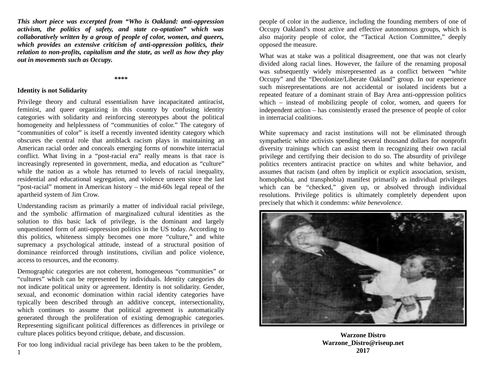*This short piece was excerpted from "Who is Oakland: anti-oppression activism, the politics of safety, and state co-optation" which was collaboratively written by a group of people of color, women, and queers, which provides an extensive criticism of anti-oppression politics, their relation to non-profits, capitalism and the state, as well as how they play out in movements such as Occupy.*

### **\*\*\*\***

### **Identity is not Solidarity**

Privilege theory and cultural essentialism have incapacitated antiracist, feminist, and queer organizing in this country by confusing identity categories with solidarity and reinforcing stereotypes about the political homogeneity and helplessness of "communities of color." The category of "communities of color" is itself a recently invented identity category which obscures the central role that antiblack racism plays in maintaining an American racial order and conceals emerging forms of nonwhite interracial conflict. What living in a "post-racial era" really means is that race is increasingly represented in government, media, and education as "culture" while the nation as a whole has returned to levels of racial inequality, residential and educational segregation, and violence unseen since the last "post-racial" moment in American history – the mid-60s legal repeal of the apartheid system of Jim Crow.

Understanding racism as primarily a matter of individual racial privilege, and the symbolic affirmation of marginalized cultural identities as the solution to this basic lack of privilege, is the dominant and largely unquestioned form of anti-oppression politics in the US today. According to this politics, whiteness simply becomes one more "culture," and white supremacy a psychological attitude, instead of a structural position of dominance reinforced through institutions, civilian and police violence, access to resources, and the economy.

Demographic categories are not coherent, homogeneous "communities" or "cultures" which can be represented by individuals. Identity categories do not indicate political unity or agreement. Identity is not solidarity. Gender, sexual, and economic domination within racial identity categories have typically been described through an additive concept, intersectionality, which continues to assume that political agreement is automatically generated through the proliferation of existing demographic categories. Representing significant political differences as differences in privilege or culture places politics beyond critique, debate, and discussion.

For too long individual racial privilege has been taken to be the problem,

people of color in the audience, including the founding members of one of Occupy Oakland's most active and effective autonomous groups, which is also majority people of color, the "Tactical Action Committee," deeply opposed the measure.

What was at stake was a political disagreement, one that was not clearly divided along racial lines. However, the failure of the renaming proposal was subsequently widely misrepresented as a conflict between "white Occupy" and the "Decolonize/Liberate Oakland" group. In our experience such misrepresentations are not accidental or isolated incidents but a repeated feature of a dominant strain of Bay Area anti-oppression politics which – instead of mobilizing people of color, women, and queers for independent action – has consistently erased the presence of people of color in interracial coalitions.

White supremacy and racist institutions will not be eliminated through sympathetic white activists spending several thousand dollars for nonprofit diversity trainings which can assist them in recognizing their own racial privilege and certifying their decision to do so. The absurdity of privilege politics recenters antiracist practice on whites and white behavior, and assumes that racism (and often by implicit or explicit association, sexism, homophobia, and transphobia) manifest primarily as individual privileges which can be "checked," given up, or absolved through individual resolutions. Privilege politics is ultimately completely dependent upon precisely that which it condemns: *white benevolence*.



**Warzone Distro Warzone\_Distro@riseup.net 2017**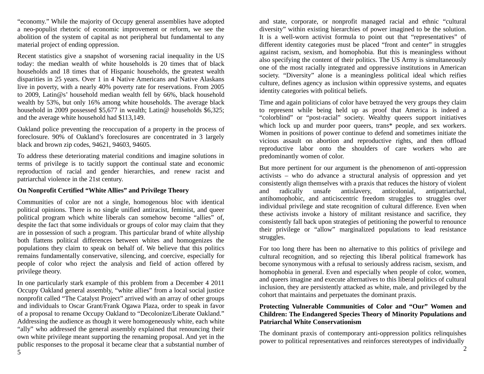"economy." While the majority of Occupy general assemblies have adopted a neo-populist rhetoric of economic improvement or reform, we see the abolition of the system of capital as not peripheral but fundamental to any material project of ending oppression.

Recent statistics give a snapshot of worsening racial inequality in the US today: the median wealth of white households is 20 times that of black households and 18 times that of Hispanic households, the greatest wealth disparities in 25 years. Over 1 in 4 Native Americans and Native Alaskans live in poverty, with a nearly 40% poverty rate for reservations. From 2005 to 2009, Latin@s' household median wealth fell by 66%, black household wealth by 53%, but only 16% among white households. The average black household in 2009 possessed \$5,677 in wealth; Latin $\omega$  households \$6,325; and the average white household had \$113,149.

Oakland police preventing the reoccupation of a property in the process of foreclosure. 90% of Oakland's foreclosures are concentrated in 3 largely black and brown zip codes, 94621, 94603, 94605.

To address these deteriorating material conditions and imagine solutions in terms of privilege is to tacitly support the continual state and economic reproduction of racial and gender hierarchies, and renew racist and patriarchal violence in the 21st century.

## **On Nonprofit Certified "White Allies" and Privilege Theory**

Communities of color are not a single, homogenous bloc with identical political opinions. There is no single unified antiracist, feminist, and queer political program which white liberals can somehow become "allies" of, despite the fact that some individuals or groups of color may claim that they are in possession of such a program. This particular brand of white allyship both flattens political differences between whites and homogenizes the populations they claim to speak on behalf of. We believe that this politics remains fundamentally conservative, silencing, and coercive, especially for people of color who reject the analysis and field of action offered by privilege theory.

In one particularly stark example of this problem from a December 4 2011 Occupy Oakland general assembly, "white allies" from a local social justice nonprofit called "The Catalyst Project" arrived with an array of other groups and individuals to Oscar Grant/Frank Ogawa Plaza, order to speak in favor of a proposal to rename Occupy Oakland to "Decolonize/Liberate Oakland." Addressing the audience as though it were homogeneously white, each white "ally" who addressed the general assembly explained that renouncing their own white privilege meant supporting the renaming proposal. And yet in the public responses to the proposal it became clear that a substantial number of and state, corporate, or nonprofit managed racial and ethnic "cultural diversity" within existing hierarchies of power imagined to be the solution. It is a well-worn activist formula to point out that "representatives" of different identity categories must be placed "front and center" in struggles against racism, sexism, and homophobia. But this is meaningless without also specifying the content of their politics. The US Army is simultaneously one of the most racially integrated and oppressive institutions in American society. "Diversity" alone is a meaningless political ideal which reifies culture, defines agency as inclusion within oppressive systems, and equates identity categories with political beliefs.

Time and again politicians of color have betrayed the very groups they claim to represent while being held up as proof that America is indeed a "colorblind" or "post-racial" society. Wealthy queers support initiatives which lock up and murder poor queers, trans\* people, and sex workers. Women in positions of power continue to defend and sometimes initiate the vicious assault on abortion and reproductive rights, and then offload reproductive labor onto the shoulders of care workers who are predominantly women of color.

But more pertinent for our argument is the phenomenon of anti-oppression activists – who do advance a structural analysis of oppression and yet consistently align themselves with a praxis that reduces the history of violent and radically unsafe antislavery, anticolonial, antipatriarchal, antihomophobic, and anticiscentric freedom struggles to struggles over individual privilege and state recognition of cultural difference. Even when these activists invoke a history of militant resistance and sacrifice, they consistently fall back upon strategies of petitioning the powerful to renounce their privilege or "allow" marginalized populations to lead resistance struggles.

For too long there has been no alternative to this politics of privilege and cultural recognition, and so rejecting this liberal political framework has become synonymous with a refusal to seriously address racism, sexism, and homophobia in general. Even and especially when people of color, women, and queers imagine and execute alternatives to this liberal politics of cultural inclusion, they are persistently attacked as white, male, and privileged by the cohort that maintains and perpetuates the dominant praxis.

# **Protecting Vulnerable Communities of Color and "Our" Women and Children: The Endangered Species Theory of Minority Populations and Patriarchal White Conservationism**

The dominant praxis of contemporary anti-oppression politics relinquishes power to political representatives and reinforces stereotypes of individually